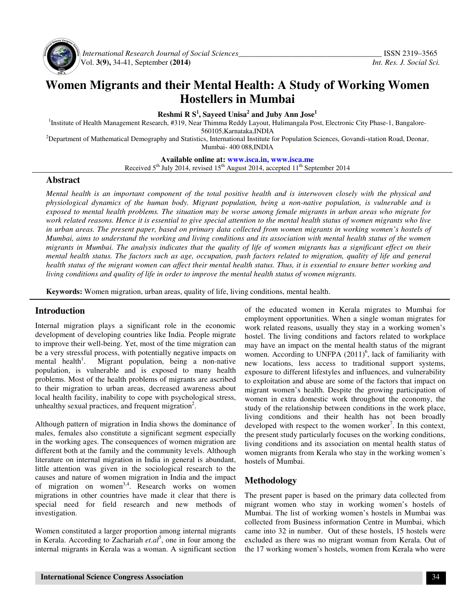

 *International Research Journal of Social Sciences\_\_\_\_\_\_\_\_\_\_\_\_\_\_\_\_\_\_\_\_\_\_\_\_\_\_\_\_\_\_\_\_\_\_\_\_\_* ISSN 2319–3565 Vol. **3(9),** 34-41, September **(2014)** *Int. Res. J. Social Sci.*

# **Women Migrants and their Mental Health: A Study of Working Women Hostellers in Mumbai**

**Reshmi R S<sup>1</sup> , Sayeed Unisa<sup>2</sup> and Juby Ann Jose<sup>1</sup>**

<sup>1</sup>Institute of Health Management Research, #319, Near Thimma Reddy Layout, Hulimangala Post, Electronic City Phase-1, Bangalore-

560105,Karnataka,INDIA

<sup>2</sup>Department of Mathematical Demography and Statistics, International Institute for Population Sciences, Govandi-station Road, Deonar, Mumbai- 400 088,INDIA

**Available online at: www.isca.in, www.isca.me**

Received  $5<sup>th</sup>$  July 2014, revised 15<sup>th</sup> August 2014, accepted 11<sup>th</sup> September 2014

#### **Abstract**

*Mental health is an important component of the total positive health and is interwoven closely with the physical and physiological dynamics of the human body. Migrant population, being a non-native population, is vulnerable and is exposed to mental health problems. The situation may be worse among female migrants in urban areas who migrate for work related reasons. Hence it is essential to give special attention to the mental health status of women migrants who live in urban areas. The present paper, based on primary data collected from women migrants in working women's hostels of Mumbai, aims to understand the working and living conditions and its association with mental health status of the women migrants in Mumbai. The analysis indicates that the quality of life of women migrants has a significant effect on their mental health status. The factors such as age, occupation, push factors related to migration, quality of life and general health status of the migrant women can affect their mental health status. Thus, it is essential to ensure better working and living conditions and quality of life in order to improve the mental health status of women migrants.* 

**Keywords:** Women migration, urban areas, quality of life, living conditions, mental health.

### **Introduction**

Internal migration plays a significant role in the economic development of developing countries like India. People migrate to improve their well-being. Yet, most of the time migration can be a very stressful process, with potentially negative impacts on mental health<sup>1</sup>. . Migrant population, being a non-native population, is vulnerable and is exposed to many health problems. Most of the health problems of migrants are ascribed to their migration to urban areas, decreased awareness about local health facility, inability to cope with psychological stress, unhealthy sexual practices, and frequent migration<sup>2</sup>.

Although pattern of migration in India shows the dominance of males, females also constitute a significant segment especially in the working ages. The consequences of women migration are different both at the family and the community levels. Although literature on internal migration in India in general is abundant, little attention was given in the sociological research to the causes and nature of women migration in India and the impact of migration on women<sup>3,4</sup>. Research works on women migrations in other countries have made it clear that there is special need for field research and new methods of investigation.

Women constituted a larger proportion among internal migrants in Kerala. According to Zachariah *et.al*<sup>5</sup> , one in four among the internal migrants in Kerala was a woman. A significant section

of the educated women in Kerala migrates to Mumbai for employment opportunities. When a single woman migrates for work related reasons, usually they stay in a working women's hostel. The living conditions and factors related to workplace may have an impact on the mental health status of the migrant women. According to UNFPA  $(2011)^6$ , lack of familiarity with new locations, less access to traditional support systems, exposure to different lifestyles and influences, and vulnerability to exploitation and abuse are some of the factors that impact on migrant women's health. Despite the growing participation of women in extra domestic work throughout the economy, the study of the relationship between conditions in the work place, living conditions and their health has not been broadly developed with respect to the women worker<sup>7</sup>. In this context, the present study particularly focuses on the working conditions, living conditions and its association on mental health status of women migrants from Kerala who stay in the working women's hostels of Mumbai.

#### **Methodology**

The present paper is based on the primary data collected from migrant women who stay in working women's hostels of Mumbai. The list of working women's hostels in Mumbai was collected from Business information Centre in Mumbai, which came into 32 in number. Out of these hostels, 15 hostels were excluded as there was no migrant woman from Kerala. Out of the 17 working women's hostels, women from Kerala who were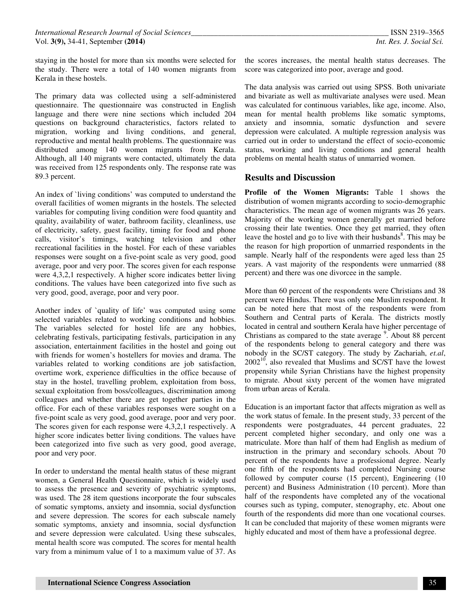staying in the hostel for more than six months were selected for the study. There were a total of 140 women migrants from Kerala in these hostels.

The primary data was collected using a self-administered questionnaire. The questionnaire was constructed in English language and there were nine sections which included 204 questions on background characteristics, factors related to migration, working and living conditions, and general, reproductive and mental health problems. The questionnaire was distributed among 140 women migrants from Kerala. Although, all 140 migrants were contacted, ultimately the data was received from 125 respondents only. The response rate was 89.3 percent.

An index of `living conditions' was computed to understand the overall facilities of women migrants in the hostels. The selected variables for computing living condition were food quantity and quality, availability of water, bathroom facility, cleanliness, use of electricity, safety, guest facility, timing for food and phone calls, visitor's timings, watching television and other recreational facilities in the hostel. For each of these variables responses were sought on a five-point scale as very good, good average, poor and very poor. The scores given for each response were 4,3,2,1 respectively. A higher score indicates better living conditions. The values have been categorized into five such as very good, good, average, poor and very poor.

Another index of `quality of life' was computed using some selected variables related to working conditions and hobbies. The variables selected for hostel life are any hobbies, celebrating festivals, participating festivals, participation in any association, entertainment facilities in the hostel and going out with friends for women's hostellers for movies and drama. The variables related to working conditions are job satisfaction, overtime work, experience difficulties in the office because of stay in the hostel, travelling problem, exploitation from boss, sexual exploitation from boss/colleagues, discrimination among colleagues and whether there are get together parties in the office. For each of these variables responses were sought on a five-point scale as very good, good average, poor and very poor. The scores given for each response were 4,3,2,1 respectively. A higher score indicates better living conditions. The values have been categorized into five such as very good, good average, poor and very poor.

In order to understand the mental health status of these migrant women, a General Health Questionnaire, which is widely used to assess the presence and severity of psychiatric symptoms, was used. The 28 item questions incorporate the four subscales of somatic symptoms, anxiety and insomnia, social dysfunction and severe depression. The scores for each subscale namely somatic symptoms, anxiety and insomnia, social dysfunction and severe depression were calculated. Using these subscales, mental health score was computed. The scores for mental health vary from a minimum value of 1 to a maximum value of 37. As

the scores increases, the mental health status decreases. The score was categorized into poor, average and good.

The data analysis was carried out using SPSS. Both univariate and bivariate as well as multivariate analyses were used. Mean was calculated for continuous variables, like age, income. Also, mean for mental health problems like somatic symptoms, anxiety and insomnia, somatic dysfunction and severe depression were calculated. A multiple regression analysis was carried out in order to understand the effect of socio-economic status, working and living conditions and general health problems on mental health status of unmarried women.

#### **Results and Discussion**

**Profile of the Women Migrants:** Table 1 shows the distribution of women migrants according to socio-demographic characteristics. The mean age of women migrants was 26 years. Majority of the working women generally get married before crossing their late twenties. Once they get married, they often leave the hostel and go to live with their husbands<sup>8</sup>. This may be the reason for high proportion of unmarried respondents in the sample. Nearly half of the respondents were aged less than 25 years. A vast majority of the respondents were unmarried (88 percent) and there was one divorcee in the sample.

More than 60 percent of the respondents were Christians and 38 percent were Hindus. There was only one Muslim respondent. It can be noted here that most of the respondents were from Southern and Central parts of Kerala. The districts mostly located in central and southern Kerala have higher percentage of Christians as compared to the state average  $9$ . About 88 percent of the respondents belong to general category and there was nobody in the SC/ST category. The study by Zachariah, *et.al*,  $2002^{10}$ , also revealed that Muslims and SC/ST have the lowest propensity while Syrian Christians have the highest propensity to migrate. About sixty percent of the women have migrated from urban areas of Kerala.

Education is an important factor that affects migration as well as the work status of female. In the present study, 33 percent of the respondents were postgraduates, 44 percent graduates, 22 percent completed higher secondary, and only one was a matriculate. More than half of them had English as medium of instruction in the primary and secondary schools. About 70 percent of the respondents have a professional degree. Nearly one fifth of the respondents had completed Nursing course followed by computer course (15 percent), Engineering (10 percent) and Business Administration (10 percent). More than half of the respondents have completed any of the vocational courses such as typing, computer, stenography, etc. About one fourth of the respondents did more than one vocational courses. It can be concluded that majority of these women migrants were highly educated and most of them have a professional degree.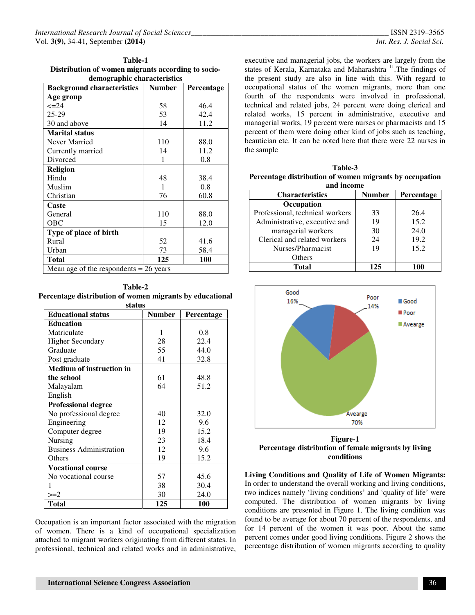| Table-1                                                                                                         |  |  |  |  |
|-----------------------------------------------------------------------------------------------------------------|--|--|--|--|
| Distribution of women migrants according to socio-                                                              |  |  |  |  |
| all contracts and contracts to the contract of the state of the state of the state of the state of the state of |  |  |  |  |

| demographic characteristics              |               |                   |  |
|------------------------------------------|---------------|-------------------|--|
| <b>Background characteristics</b>        | <b>Number</b> | <b>Percentage</b> |  |
| Age group                                |               |                   |  |
| $\leq$ $=$ 24                            | 58            | 46.4              |  |
| 25-29                                    | 53            | 42.4              |  |
| 30 and above                             | 14            | 11.2              |  |
| <b>Marital status</b>                    |               |                   |  |
| Never Married                            | 110           | 88.0              |  |
| Currently married                        | 14            | 11.2              |  |
| Divorced                                 | 1             | 0.8               |  |
| <b>Religion</b>                          |               |                   |  |
| Hindu                                    | 48            | 38.4              |  |
| Muslim                                   | 1             | 0.8               |  |
| Christian                                | 76            | 60.8              |  |
| Caste                                    |               |                   |  |
| General                                  | 110           | 88.0              |  |
| <b>OBC</b>                               | 15            | 12.0              |  |
| Type of place of birth                   |               |                   |  |
| Rural                                    | 52            | 41.6              |  |
| Urban                                    | 73            | 58.4              |  |
| <b>Total</b>                             | 125           | <b>100</b>        |  |
| Mean age of the respondents $= 26$ years |               |                   |  |

**Table-2 Percentage distribution of women migrants by educational status** 

| status                          |        |            |
|---------------------------------|--------|------------|
| <b>Educational status</b>       | Number | Percentage |
| <b>Education</b>                |        |            |
| Matriculate                     | 1      | 0.8        |
| <b>Higher Secondary</b>         | 28     | 22.4       |
| Graduate                        | 55     | 44.0       |
| Post graduate                   | 41     | 32.8       |
| <b>Medium of instruction in</b> |        |            |
| the school                      | 61     | 48.8       |
| Malayalam                       | 64     | 51.2       |
| English                         |        |            |
| <b>Professional degree</b>      |        |            |
| No professional degree          | 40     | 32.0       |
| Engineering                     | 12     | 9.6        |
| Computer degree                 | 19     | 15.2       |
| Nursing                         | 23     | 18.4       |
| <b>Business Administration</b>  | 12     | 9.6        |
| Others                          | 19     | 15.2       |
| <b>Vocational course</b>        |        |            |
| No vocational course            | 57     | 45.6       |
| 1                               | 38     | 30.4       |
| $>=2$                           | 30     | 24.0       |
| Total                           | 125    | 100        |

Occupation is an important factor associated with the migration of women. There is a kind of occupational specialization attached to migrant workers originating from different states. In professional, technical and related works and in administrative, executive and managerial jobs, the workers are largely from the states of Kerala, Karnataka and Maharashtra<sup>11</sup>. The findings of the present study are also in line with this. With regard to occupational status of the women migrants, more than one fourth of the respondents were involved in professional, technical and related jobs, 24 percent were doing clerical and related works, 15 percent in administrative, executive and managerial works, 19 percent were nurses or pharmacists and 15 percent of them were doing other kind of jobs such as teaching, beautician etc. It can be noted here that there were 22 nurses in the sample

| Table-3                                                 |
|---------------------------------------------------------|
| Percentage distribution of women migrants by occupation |
| . 1 <i>.</i>                                            |

| and income                      |               |            |  |  |
|---------------------------------|---------------|------------|--|--|
| <b>Characteristics</b>          | <b>Number</b> | Percentage |  |  |
| Occupation                      |               |            |  |  |
| Professional, technical workers | 33            | 26.4       |  |  |
| Administrative, executive and   | 19            | 15.2       |  |  |
| managerial workers              | 30            | 24.0       |  |  |
| Clerical and related workers    | 24            | 19.2       |  |  |
| Nurses/Pharmacist               | 19            | 15.2       |  |  |
| Others                          |               |            |  |  |
| Total                           | 125           |            |  |  |



**Figure-1 Percentage distribution of female migrants by living conditions** 

**Living Conditions and Quality of Life of Women Migrants:**  In order to understand the overall working and living conditions, two indices namely 'living conditions' and 'quality of life' were computed. The distribution of women migrants by living conditions are presented in Figure 1. The living condition was found to be average for about 70 percent of the respondents, and for 14 percent of the women it was poor. About the same percent comes under good living conditions. Figure 2 shows the percentage distribution of women migrants according to quality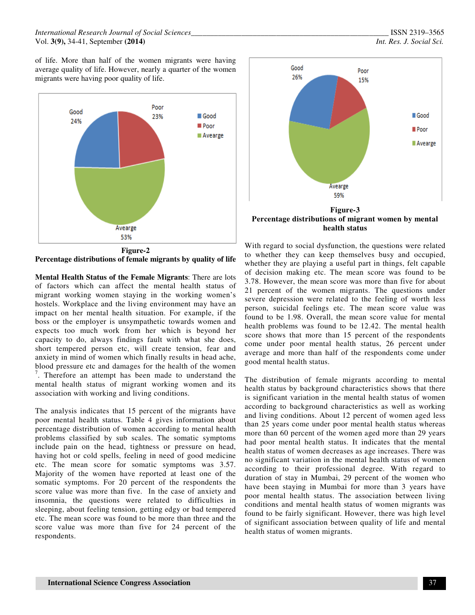#### *International Research Journal of Social Sciences\_\_\_\_\_\_\_\_\_\_\_\_\_\_\_\_\_\_\_\_\_\_\_\_\_\_\_\_\_\_\_\_\_\_\_\_\_\_\_\_\_\_\_\_\_\_\_\_\_\_\_* ISSN 2319–3565 Vol. **3(9),** 34-41, September **(2014)** *Int. Res. J. Social Sci.*

of life. More than half of the women migrants were having average quality of life. However, nearly a quarter of the women migrants were having poor quality of life.



**Percentage distributions of female migrants by quality of life** 

**Mental Health Status of the Female Migrants**: There are lots of factors which can affect the mental health status of migrant working women staying in the working women's hostels. Workplace and the living environment may have an impact on her mental health situation. For example, if the boss or the employer is unsympathetic towards women and expects too much work from her which is beyond her capacity to do, always findings fault with what she does, short tempered person etc, will create tension, fear and anxiety in mind of women which finally results in head ache, blood pressure etc and damages for the health of the women  $\frac{7}{1}$ . Therefore an attempt has been made to understand the mental health status of migrant working women and its association with working and living conditions.

The analysis indicates that 15 percent of the migrants have poor mental health status. Table 4 gives information about percentage distribution of women according to mental health problems classified by sub scales. The somatic symptoms include pain on the head, tightness or pressure on head, having hot or cold spells, feeling in need of good medicine etc. The mean score for somatic symptoms was 3.57. Majority of the women have reported at least one of the somatic symptoms. For 20 percent of the respondents the score value was more than five. In the case of anxiety and insomnia, the questions were related to difficulties in sleeping, about feeling tension, getting edgy or bad tempered etc. The mean score was found to be more than three and the score value was more than five for 24 percent of the respondents.



With regard to social dysfunction, the questions were related to whether they can keep themselves busy and occupied, whether they are playing a useful part in things, felt capable of decision making etc. The mean score was found to be 3.78. However, the mean score was more than five for about 21 percent of the women migrants. The questions under severe depression were related to the feeling of worth less person, suicidal feelings etc. The mean score value was found to be 1.98. Overall, the mean score value for mental health problems was found to be 12.42. The mental health score shows that more than 15 percent of the respondents come under poor mental health status, 26 percent under average and more than half of the respondents come under good mental health status.

The distribution of female migrants according to mental health status by background characteristics shows that there is significant variation in the mental health status of women according to background characteristics as well as working and living conditions. About 12 percent of women aged less than 25 years come under poor mental health status whereas more than 60 percent of the women aged more than 29 years had poor mental health status. It indicates that the mental health status of women decreases as age increases. There was no significant variation in the mental health status of women according to their professional degree. With regard to duration of stay in Mumbai, 29 percent of the women who have been staying in Mumbai for more than 3 years have poor mental health status. The association between living conditions and mental health status of women migrants was found to be fairly significant. However, there was high level of significant association between quality of life and mental health status of women migrants.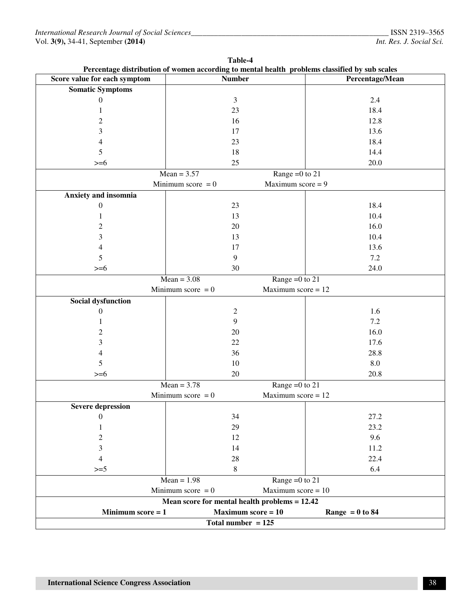| Table-4<br>Percentage distribution of women according to mental health problems classified by sub scales |                                                 |                      |                   |
|----------------------------------------------------------------------------------------------------------|-------------------------------------------------|----------------------|-------------------|
| Score value for each symptom                                                                             | <b>Number</b>                                   |                      | Percentage/Mean   |
| <b>Somatic Symptoms</b>                                                                                  |                                                 |                      |                   |
| $\boldsymbol{0}$                                                                                         | 3                                               |                      | 2.4               |
| $\mathbf{1}$                                                                                             | 23                                              |                      | 18.4              |
| $\overline{c}$                                                                                           | 16                                              |                      | 12.8              |
| 3                                                                                                        | 17                                              |                      | 13.6              |
| $\overline{4}$                                                                                           | 23                                              |                      | 18.4              |
| 5                                                                                                        | 18                                              |                      | 14.4              |
| $>= 6$                                                                                                   | 25                                              |                      | 20.0              |
|                                                                                                          | $Mean = 3.57$                                   | Range = $0$ to 21    |                   |
|                                                                                                          | Minimum score $= 0$                             | Maximum score $= 9$  |                   |
| Anxiety and insomnia                                                                                     |                                                 |                      |                   |
| $\boldsymbol{0}$                                                                                         | 23                                              |                      | 18.4              |
| 1                                                                                                        | 13                                              |                      | 10.4              |
| 2                                                                                                        | 20                                              |                      | 16.0              |
| 3                                                                                                        | 13                                              |                      | 10.4              |
| 4                                                                                                        | 17                                              |                      | 13.6              |
| 5                                                                                                        | 9                                               |                      | 7.2               |
| $>= 6$                                                                                                   | 30                                              |                      | 24.0              |
|                                                                                                          | $Mean = 3.08$                                   | Range = $0$ to 21    |                   |
|                                                                                                          | Minimum score $= 0$                             | Maximum score $= 12$ |                   |
| Social dysfunction                                                                                       |                                                 |                      |                   |
| 0                                                                                                        | $\mathfrak{2}$                                  |                      | 1.6               |
| 1                                                                                                        | 9                                               |                      | $7.2\,$           |
| $\overline{c}$                                                                                           | 20                                              |                      | 16.0              |
| 3                                                                                                        | 22                                              |                      | 17.6              |
| 4                                                                                                        | 36                                              |                      | 28.8              |
| 5                                                                                                        | 10                                              |                      | 8.0               |
| $>= 6$                                                                                                   | $20\,$                                          |                      | 20.8              |
|                                                                                                          | $Mean = 3.78$                                   | Range = $0$ to 21    |                   |
|                                                                                                          | Minimum score $= 0$                             | Maximum score $= 12$ |                   |
| <b>Severe depression</b>                                                                                 |                                                 |                      |                   |
| 0                                                                                                        | 34                                              |                      | 27.2              |
| 1                                                                                                        | 29                                              |                      | 23.2              |
| 2                                                                                                        | 12                                              |                      | 9.6               |
| 3                                                                                                        | 14                                              |                      | 11.2              |
| 4                                                                                                        | 28                                              |                      | 22.4              |
| $>=5$                                                                                                    | $\,8\,$                                         |                      | 6.4               |
|                                                                                                          | $Mean = 1.98$                                   | Range = $0$ to 21    |                   |
|                                                                                                          | Minimum score $= 0$                             | Maximum score $= 10$ |                   |
|                                                                                                          | Mean score for mental health problems $= 12.42$ |                      |                   |
| Minimum score $= 1$                                                                                      | Maximum score $= 10$                            |                      | Range $= 0$ to 84 |
| Total number $= 125$                                                                                     |                                                 |                      |                   |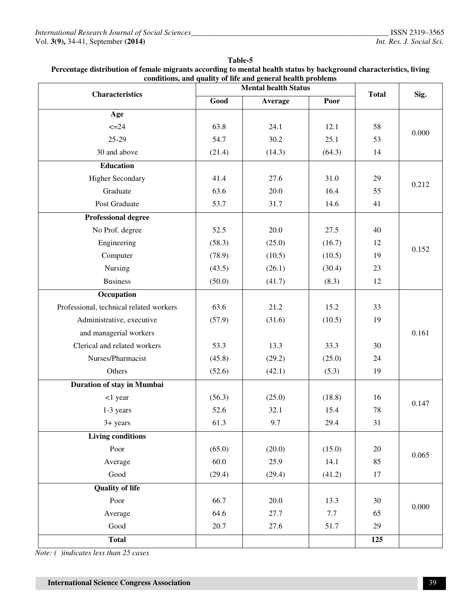|                                         | conditions, and quality of life and general health problems<br><b>Mental health Status</b> |          |        |              |       |
|-----------------------------------------|--------------------------------------------------------------------------------------------|----------|--------|--------------|-------|
| <b>Characteristics</b>                  | Good                                                                                       | Average  | Poor   | <b>Total</b> | Sig.  |
| Age                                     |                                                                                            |          |        |              |       |
| $\leq 24$                               | 63.8                                                                                       | 24.1     | 12.1   | 58           |       |
| 25-29                                   | 54.7                                                                                       | 30.2     | 25.1   | 53           | 0.000 |
| 30 and above                            | (21.4)                                                                                     | (14.3)   | (64.3) | 14           |       |
| <b>Education</b>                        |                                                                                            |          |        |              |       |
| <b>Higher Secondary</b>                 | 41.4                                                                                       | 27.6     | 31.0   | 29           |       |
| Graduate                                | 63.6                                                                                       | 20.0     | 16.4   | 55           | 0.212 |
| Post Graduate                           | 53.7                                                                                       | 31.7     | 14.6   | 41           |       |
| <b>Professional degree</b>              |                                                                                            |          |        |              |       |
| No Prof. degree                         | 52.5                                                                                       | 20.0     | 27.5   | 40           |       |
| Engineering                             | (58.3)                                                                                     | (25.0)   | (16.7) | 12           |       |
| Computer                                | (78.9)                                                                                     | (10.5)   | (10.5) | 19           | 0.152 |
| Nursing                                 | (43.5)                                                                                     | (26.1)   | (30.4) | 23           |       |
| <b>Business</b>                         | (50.0)                                                                                     | (41.7)   | (8.3)  | 12           |       |
| Occupation                              |                                                                                            |          |        |              |       |
| Professional, technical related workers | 63.6                                                                                       | 21.2     | 15.2   | 33           |       |
| Administrative, executive               | (57.9)                                                                                     | (31.6)   | (10.5) | 19           |       |
| and managerial workers                  |                                                                                            |          |        |              | 0.161 |
| Clerical and related workers            | 53.3                                                                                       | 13.3     | 33.3   | 30           |       |
| Nurses/Pharmacist                       | (45.8)                                                                                     | (29.2)   | (25.0) | 24           |       |
| Others                                  | (52.6)                                                                                     | (42.1)   | (5.3)  | 19           |       |
| Duration of stay in Mumbai              |                                                                                            |          |        |              |       |
| <1 year                                 | (56.3)                                                                                     | (25.0)   | (18.8) | 16           |       |
| 1-3 years                               | 52.6                                                                                       | 32.1     | 15.4   | 78           | 0.147 |
| 3+ years                                | 61.3                                                                                       | 9.7      | 29.4   | 31           |       |
| <b>Living conditions</b>                |                                                                                            |          |        |              |       |
| Poor                                    | (65.0)                                                                                     | (20.0)   | (15.0) | 20           | 0.065 |
| Average                                 | 60.0                                                                                       | 25.9     | 14.1   | 85           |       |
| Good                                    | (29.4)                                                                                     | (29.4)   | (41.2) | 17           |       |
| <b>Quality of life</b>                  |                                                                                            |          |        |              |       |
| Poor                                    | 66.7                                                                                       | $20.0\,$ | 13.3   | 30           | 0.000 |
| Average                                 | 64.6                                                                                       | 27.7     | 7.7    | 65           |       |
| $\operatorname{Good}$                   | 20.7                                                                                       | 27.6     | 51.7   | $29\,$       |       |

**Total 125** 

**Table-5 Percentage distribution of female migrants according to mental health status by background characteristics, living** 

*Note: ( )indicates less than 25 cases*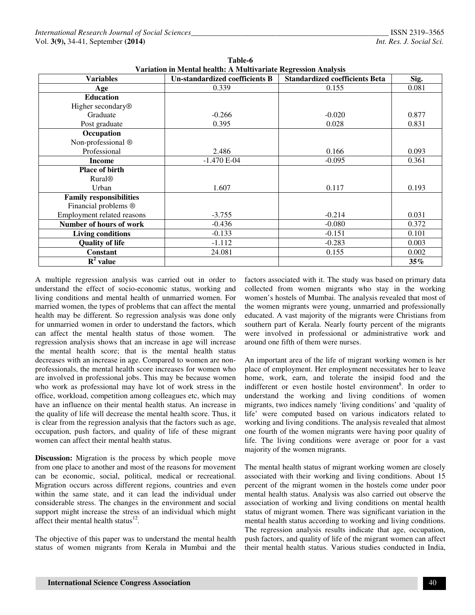| Variation in Mental health: A Multivariate Regression Analysis |                                       |                                       |        |  |  |
|----------------------------------------------------------------|---------------------------------------|---------------------------------------|--------|--|--|
| <b>Variables</b>                                               | <b>Un-standardized coefficients B</b> | <b>Standardized coefficients Beta</b> | Sig.   |  |  |
| Age                                                            | 0.339                                 | 0.155                                 | 0.081  |  |  |
| <b>Education</b>                                               |                                       |                                       |        |  |  |
| Higher secondary <sup>®</sup>                                  |                                       |                                       |        |  |  |
| Graduate                                                       | $-0.266$                              | $-0.020$                              | 0.877  |  |  |
| Post graduate                                                  | 0.395                                 | 0.028                                 | 0.831  |  |  |
| Occupation                                                     |                                       |                                       |        |  |  |
| Non-professional ®                                             |                                       |                                       |        |  |  |
| Professional                                                   | 2.486                                 | 0.166                                 | 0.093  |  |  |
| <b>Income</b>                                                  | $-1.470 E-04$                         | $-0.095$                              | 0.361  |  |  |
| <b>Place of birth</b>                                          |                                       |                                       |        |  |  |
| <b>Rural<sup>®</sup></b>                                       |                                       |                                       |        |  |  |
| Urban                                                          | 1.607                                 | 0.117                                 | 0.193  |  |  |
| <b>Family responsibilities</b>                                 |                                       |                                       |        |  |  |
| Financial problems ®                                           |                                       |                                       |        |  |  |
| Employment related reasons                                     | $-3.755$                              | $-0.214$                              | 0.031  |  |  |
| Number of hours of work                                        | $-0.436$                              | $-0.080$                              | 0.372  |  |  |
| <b>Living conditions</b>                                       | $-0.133$                              | $-0.151$                              | 0.101  |  |  |
| <b>Quality of life</b>                                         | $-1.112$                              | $-0.283$                              | 0.003  |  |  |
| <b>Constant</b>                                                | 24.081                                | 0.155                                 | 0.002  |  |  |
| $\mathbf{R}^2$ value                                           |                                       |                                       | $35\%$ |  |  |

**Table-6 Variation in Mental health: A Multivariate Regression Analysis** 

A multiple regression analysis was carried out in order to understand the effect of socio-economic status, working and living conditions and mental health of unmarried women. For married women, the types of problems that can affect the mental health may be different. So regression analysis was done only for unmarried women in order to understand the factors, which can affect the mental health status of those women.The regression analysis shows that an increase in age will increase the mental health score; that is the mental health status decreases with an increase in age. Compared to women are nonprofessionals, the mental health score increases for women who are involved in professional jobs. This may be because women who work as professional may have lot of work stress in the office, workload, competition among colleagues etc, which may have an influence on their mental health status. An increase in the quality of life will decrease the mental health score. Thus, it is clear from the regression analysis that the factors such as age, occupation, push factors, and quality of life of these migrant women can affect their mental health status.

**Discussion:** Migration is the process by which people move from one place to another and most of the reasons for movement can be economic, social, political, medical or recreational. Migration occurs across different regions, countries and even within the same state, and it can lead the individual under considerable stress. The changes in the environment and social support might increase the stress of an individual which might affect their mental health status $^{12}$ .

The objective of this paper was to understand the mental health status of women migrants from Kerala in Mumbai and the

factors associated with it. The study was based on primary data collected from women migrants who stay in the working women's hostels of Mumbai. The analysis revealed that most of the women migrants were young, unmarried and professionally educated. A vast majority of the migrants were Christians from southern part of Kerala. Nearly fourty percent of the migrants were involved in professional or administrative work and around one fifth of them were nurses.

An important area of the life of migrant working women is her place of employment. Her employment necessitates her to leave home, work, earn, and tolerate the insipid food and the indifferent or even hostile hostel environment<sup>8</sup>. In order to understand the working and living conditions of women migrants, two indices namely 'living conditions' and 'quality of life' were computed based on various indicators related to working and living conditions. The analysis revealed that almost one fourth of the women migrants were having poor quality of life. The living conditions were average or poor for a vast majority of the women migrants.

The mental health status of migrant working women are closely associated with their working and living conditions. About 15 percent of the migrant women in the hostels come under poor mental health status. Analysis was also carried out observe the association of working and living conditions on mental health status of migrant women. There was significant variation in the mental health status according to working and living conditions. The regression analysis results indicate that age, occupation, push factors, and quality of life of the migrant women can affect their mental health status. Various studies conducted in India,